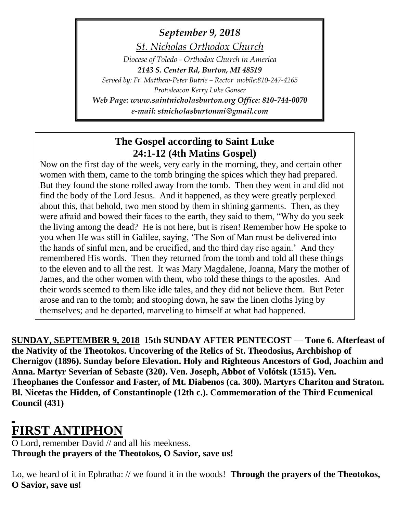# *September 9, 2018*

*St. Nicholas Orthodox Church*

*Diocese of Toledo - Orthodox Church in America 2143 S. Center Rd, Burton, MI 48519 Served by: Fr. Matthew-Peter Butrie – Rector mobile:810-247-4265 Protodeacon Kerry Luke Gonser Web Page: www.saintnicholasburton.org Office: 810-744-0070 e-mail: stnicholasburtonmi@gmail.com*

### **The Gospel according to Saint Luke 24:1-12 (4th Matins Gospel)**

Now on the first day of the week, very early in the morning, they, and certain other women with them, came to the tomb bringing the spices which they had prepared. But they found the stone rolled away from the tomb. Then they went in and did not find the body of the Lord Jesus. And it happened, as they were greatly perplexed about this, that behold, two men stood by them in shining garments. Then, as they were afraid and bowed their faces to the earth, they said to them, "Why do you seek the living among the dead? He is not here, but is risen! Remember how He spoke to you when He was still in Galilee, saying, 'The Son of Man must be delivered into the hands of sinful men, and be crucified, and the third day rise again.' And they remembered His words. Then they returned from the tomb and told all these things to the eleven and to all the rest. It was Mary Magdalene, Joanna, Mary the mother of James, and the other women with them, who told these things to the apostles. And their words seemed to them like idle tales, and they did not believe them. But Peter arose and ran to the tomb; and stooping down, he saw the linen cloths lying by themselves; and he departed, marveling to himself at what had happened.

**SUNDAY, SEPTEMBER 9, 2018 15th SUNDAY AFTER PENTECOST — Tone 6. Afterfeast of the Nativity of the Theotokos. Uncovering of the Relics of St. Theodosius, Archbishop of Chernigov (1896). Sunday before Elevation. Holy and Righteous Ancestors of God, Joachim and Anna. Martyr Severian of Sebaste (320). Ven. Joseph, Abbot of Volótsk (1515). Ven. Theophanes the Confessor and Faster, of Mt. Diabenos (ca. 300). Martyrs Chariton and Straton. Bl. Nicetas the Hidden, of Constantinople (12th c.). Commemoration of the Third Ecumenical Council (431)**

# **FIRST ANTIPHON**

O Lord, remember David // and all his meekness. **Through the prayers of the Theotokos, O Savior, save us!**

Lo, we heard of it in Ephratha: // we found it in the woods! **Through the prayers of the Theotokos, O Savior, save us!**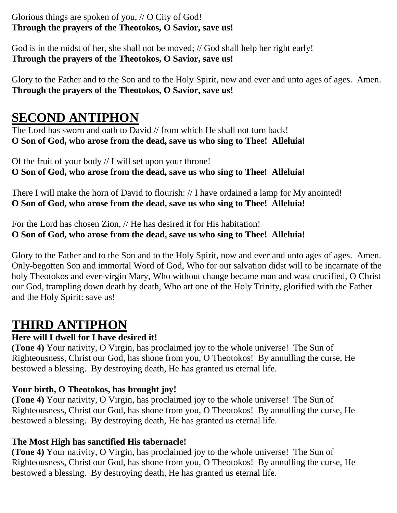### Glorious things are spoken of you, // O City of God! **Through the prayers of the Theotokos, O Savior, save us!**

God is in the midst of her, she shall not be moved; // God shall help her right early! **Through the prayers of the Theotokos, O Savior, save us!**

Glory to the Father and to the Son and to the Holy Spirit, now and ever and unto ages of ages. Amen. **Through the prayers of the Theotokos, O Savior, save us!**

## **SECOND ANTIPHON**

The Lord has sworn and oath to David // from which He shall not turn back! **O Son of God, who arose from the dead, save us who sing to Thee! Alleluia!**

Of the fruit of your body // I will set upon your throne! **O Son of God, who arose from the dead, save us who sing to Thee! Alleluia!**

There I will make the horn of David to flourish: // I have ordained a lamp for My anointed! **O Son of God, who arose from the dead, save us who sing to Thee! Alleluia!**

For the Lord has chosen Zion, // He has desired it for His habitation! **O Son of God, who arose from the dead, save us who sing to Thee! Alleluia!**

Glory to the Father and to the Son and to the Holy Spirit, now and ever and unto ages of ages. Amen. Only-begotten Son and immortal Word of God, Who for our salvation didst will to be incarnate of the holy Theotokos and ever-virgin Mary, Who without change became man and wast crucified, O Christ our God, trampling down death by death, Who art one of the Holy Trinity, glorified with the Father and the Holy Spirit: save us!

## **THIRD ANTIPHON**

### **Here will I dwell for I have desired it!**

**(Tone 4)** Your nativity, O Virgin, has proclaimed joy to the whole universe! The Sun of Righteousness, Christ our God, has shone from you, O Theotokos! By annulling the curse, He bestowed a blessing. By destroying death, He has granted us eternal life.

### **Your birth, O Theotokos, has brought joy!**

**(Tone 4)** Your nativity, O Virgin, has proclaimed joy to the whole universe! The Sun of Righteousness, Christ our God, has shone from you, O Theotokos! By annulling the curse, He bestowed a blessing. By destroying death, He has granted us eternal life.

### **The Most High has sanctified His tabernacle!**

**(Tone 4)** Your nativity, O Virgin, has proclaimed joy to the whole universe! The Sun of Righteousness, Christ our God, has shone from you, O Theotokos! By annulling the curse, He bestowed a blessing. By destroying death, He has granted us eternal life.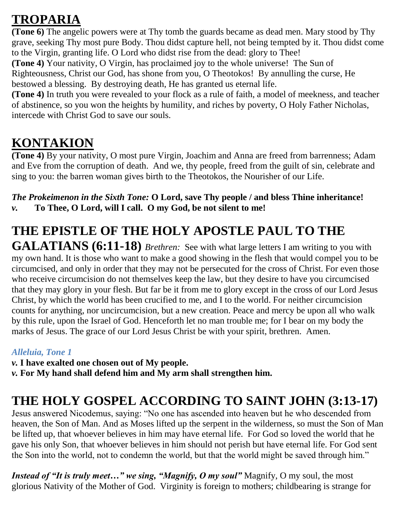## **TROPARIA**

**(Tone 6)** The angelic powers were at Thy tomb the guards became as dead men. Mary stood by Thy grave, seeking Thy most pure Body. Thou didst capture hell, not being tempted by it. Thou didst come to the Virgin, granting life. O Lord who didst rise from the dead: glory to Thee!

**(Tone 4)** Your nativity, O Virgin, has proclaimed joy to the whole universe! The Sun of Righteousness, Christ our God, has shone from you, O Theotokos! By annulling the curse, He bestowed a blessing. By destroying death, He has granted us eternal life.

**(Tone 4)** In truth you were revealed to your flock as a rule of faith, a model of meekness, and teacher of abstinence, so you won the heights by humility, and riches by poverty, O Holy Father Nicholas, intercede with Christ God to save our souls.

## **KONTAKION**

**(Tone 4)** By your nativity, O most pure Virgin, Joachim and Anna are freed from barrenness; Adam and Eve from the corruption of death. And we, thy people, freed from the guilt of sin, celebrate and sing to you: the barren woman gives birth to the Theotokos, the Nourisher of our Life.

### *The Prokeimenon in the Sixth Tone:* **O Lord, save Thy people / and bless Thine inheritance!** *v.* **To Thee, O Lord, will I call. O my God, be not silent to me!**

# **THE EPISTLE OF THE HOLY APOSTLE PAUL TO THE**

**GALATIANS (6:11-18)** *Brethren:* See with what large letters I am writing to you with my own hand. It is those who want to make a good showing in the flesh that would compel you to be circumcised, and only in order that they may not be persecuted for the cross of Christ. For even those who receive circumcision do not themselves keep the law, but they desire to have you circumcised that they may glory in your flesh. But far be it from me to glory except in the cross of our Lord Jesus Christ, by which the world has been crucified to me, and I to the world. For neither circumcision counts for anything, nor uncircumcision, but a new creation. Peace and mercy be upon all who walk by this rule, upon the Israel of God. Henceforth let no man trouble me; for I bear on my body the marks of Jesus. The grace of our Lord Jesus Christ be with your spirit, brethren. Amen.

### *Alleluia, Tone 1*

*v.* **I have exalted one chosen out of My people.**

*v.* **For My hand shall defend him and My arm shall strengthen him.**

# **THE HOLY GOSPEL ACCORDING TO SAINT JOHN (3:13-17)**

Jesus answered Nicodemus, saying: "No one has ascended into heaven but he who descended from heaven, the Son of Man. And as Moses lifted up the serpent in the wilderness, so must the Son of Man be lifted up, that whoever believes in him may have eternal life. For God so loved the world that he gave his only Son, that whoever believes in him should not perish but have eternal life. For God sent the Son into the world, not to condemn the world, but that the world might be saved through him."

*Instead of "It is truly meet…" we sing, "Magnify, O my soul"* Magnify, O my soul, the most glorious Nativity of the Mother of God. Virginity is foreign to mothers; childbearing is strange for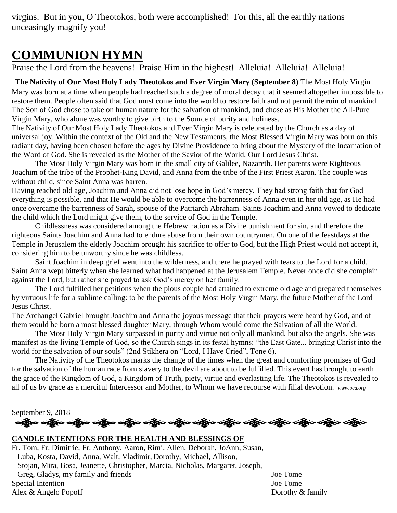virgins. But in you, O Theotokos, both were accomplished! For this, all the earthly nations unceasingly magnify you!

## **COMMUNION HYMN**

Praise the Lord from the heavens! Praise Him in the highest! Alleluia! Alleluia! Alleluia!

#### **The Nativity of Our Most Holy Lady Theotokos and Ever Virgin Mary (September 8)** The Most Holy Virgin

Mary was born at a time when people had reached such a degree of moral decay that it seemed altogether impossible to restore them. People often said that God must come into the world to restore faith and not permit the ruin of mankind. The Son of God chose to take on human nature for the salvation of mankind, and chose as His Mother the All-Pure Virgin Mary, who alone was worthy to give birth to the Source of purity and holiness.

The Nativity of Our Most Holy Lady Theotokos and Ever Virgin Mary is celebrated by the Church as a day of universal joy. Within the context of the Old and the New Testaments, the Most Blessed Virgin Mary was born on this radiant day, having been chosen before the ages by Divine Providence to bring about the Mystery of the Incarnation of the Word of God. She is revealed as the Mother of the Savior of the World, Our Lord Jesus Christ.

The Most Holy Virgin Mary was born in the small city of Galilee, Nazareth. Her parents were Righteous Joachim of the tribe of the Prophet-King David, and Anna from the tribe of the First Priest Aaron. The couple was without child, since Saint Anna was barren.

Having reached old age, Joachim and Anna did not lose hope in God's mercy. They had strong faith that for God everything is possible, and that He would be able to overcome the barrenness of Anna even in her old age, as He had once overcame the barrenness of Sarah, spouse of the Patriarch Abraham. Saints Joachim and Anna vowed to dedicate the child which the Lord might give them, to the service of God in the Temple.

Childlessness was considered among the Hebrew nation as a Divine punishment for sin, and therefore the righteous Saints Joachim and Anna had to endure abuse from their own countrymen. On one of the feastdays at the Temple in Jerusalem the elderly Joachim brought his sacrifice to offer to God, but the High Priest would not accept it, considering him to be unworthy since he was childless.

Saint Joachim in deep grief went into the wilderness, and there he prayed with tears to the Lord for a child. Saint Anna wept bitterly when she learned what had happened at the Jerusalem Temple. Never once did she complain against the Lord, but rather she prayed to ask God's mercy on her family.

The Lord fulfilled her petitions when the pious couple had attained to extreme old age and prepared themselves by virtuous life for a sublime calling: to be the parents of the Most Holy Virgin Mary, the future Mother of the Lord Jesus Christ.

The Archangel Gabriel brought Joachim and Anna the joyous message that their prayers were heard by God, and of them would be born a most blessed daughter Mary, through Whom would come the Salvation of all the World.

The Most Holy Virgin Mary surpassed in purity and virtue not only all mankind, but also the angels. She was manifest as the living Temple of God, so the Church sings in its festal hymns: "the East Gate... bringing Christ into the world for the salvation of our souls" (2nd Stikhera on "Lord, I Have Cried", Tone 6).

The Nativity of the Theotokos marks the change of the times when the great and comforting promises of God for the salvation of the human race from slavery to the devil are about to be fulfilled. This event has brought to earth the grace of the Kingdom of God, a Kingdom of Truth, piety, virtue and everlasting life. The Theotokos is revealed to all of us by grace as a merciful Intercessor and Mother, to Whom we have recourse with filial devotion. *www.oca.org*

September 9, 2018

ઓફ્રેન ઓફ્રેન ઓફ્રેન એફ્રેન ઓફ્રેન ઓફ્રેન ઓફ્રેન ઓફ્રેન એફ્રેન એફ્રેન એફ્રેન ઓફ્રેન એફ્રેન એફ્રેન

#### **CANDLE INTENTIONS FOR THE HEALTH AND BLESSINGS OF**

Fr. Tom, Fr. Dimitrie, Fr. Anthony, Aaron, Rimi, Allen, Deborah, JoAnn, Susan, Luba, Kosta, David, Anna, Walt, Vladimir, Dorothy, Michael, Allison, Stojan, Mira, Bosa, Jeanette, Christopher, Marcia, Nicholas, Margaret, Joseph, Greg, Gladys, my family and friends Joe Tome Special Intention Joe Tome Alex & Angelo Popoff Dorothy & family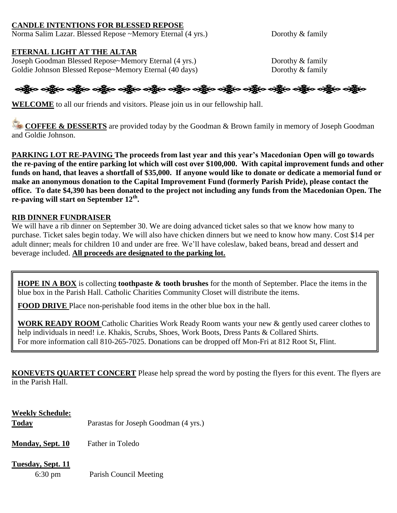#### **CANDLE INTENTIONS FOR BLESSED REPOSE**

Norma Salim Lazar. Blessed Repose ~Memory Eternal (4 yrs.) Dorothy & family

#### **ETERNAL LIGHT AT THE ALTAR**

Joseph Goodman Blessed Repose~Memory Eternal (4 yrs.) Dorothy & family Goldie Johnson Blessed Repose~Memory Eternal (40 days) Dorothy & family

### ઓફ્રેન ઓફ્રેન ઓફ્રેન ઓફ્રેન ઓફ્રેન ઓફ્રેન ઓફ્રેન ઓફ્રેન ઓફ્રેન ઓફ્રેન ઓફ્રેન ઓફ્રેન ઓફ્રેન

**WELCOME** to all our friends and visitors. Please join us in our fellowship hall.

**COFFEE & DESSERTS** are provided today by the Goodman & Brown family in memory of Joseph Goodman and Goldie Johnson.

**PARKING LOT RE-PAVING The proceeds from last year and this year's Macedonian Open will go towards the re-paving of the entire parking lot which will cost over \$100,000. With capital improvement funds and other funds on hand, that leaves a shortfall of \$35,000. If anyone would like to donate or dedicate a memorial fund or make an anonymous donation to the Capital Improvement Fund (formerly Parish Pride), please contact the office. To date \$4,390 has been donated to the project not including any funds from the Macedonian Open. The re-paving will start on September 12th .**

#### **RIB DINNER FUNDRAISER**

We will have a rib dinner on September 30. We are doing advanced ticket sales so that we know how many to purchase. Ticket sales begin today. We will also have chicken dinners but we need to know how many. Cost \$14 per adult dinner; meals for children 10 and under are free. We'll have coleslaw, baked beans, bread and dessert and beverage included. **All proceeds are designated to the parking lot.**

**HOPE IN A BOX** is collecting **toothpaste & tooth brushes** for the month of September. Place the items in the blue box in the Parish Hall. Catholic Charities Community Closet will distribute the items.

**FOOD DRIVE** Place non-perishable food items in the other blue box in the hall.

**WORK READY ROOM** Catholic Charities Work Ready Room wants your new & gently used career clothes to help individuals in need! i.e. Khakis, Scrubs, Shoes, Work Boots, Dress Pants & Collared Shirts. For more information call 810-265-7025. Donations can be dropped off Mon-Fri at 812 Root St, Flint.

**KONEVETS QUARTET CONCERT** Please help spread the word by posting the flyers for this event. The flyers are in the Parish Hall.

## **Weekly Schedule: Today** Parastas for Joseph Goodman (4 yrs.) **Monday, Sept. 10** Father in Toledo **Tuesday, Sept. 11** 6:30 pm Parish Council Meeting